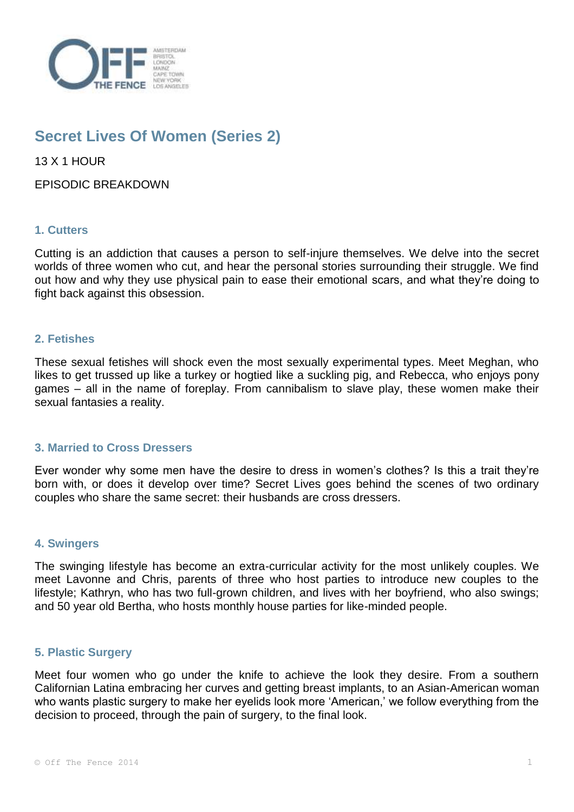

# **Secret Lives Of Women (Series 2)**

13 X 1 HOUR

EPISODIC BREAKDOWN

# **1. Cutters**

Cutting is an addiction that causes a person to self-injure themselves. We delve into the secret worlds of three women who cut, and hear the personal stories surrounding their struggle. We find out how and why they use physical pain to ease their emotional scars, and what they're doing to fight back against this obsession.

# **2. Fetishes**

These sexual fetishes will shock even the most sexually experimental types. Meet Meghan, who likes to get trussed up like a turkey or hogtied like a suckling pig, and Rebecca, who enjoys pony games – all in the name of foreplay. From cannibalism to slave play, these women make their sexual fantasies a reality.

# **3. Married to Cross Dressers**

Ever wonder why some men have the desire to dress in women's clothes? Is this a trait they're born with, or does it develop over time? Secret Lives goes behind the scenes of two ordinary couples who share the same secret: their husbands are cross dressers.

# **4. Swingers**

The swinging lifestyle has become an extra-curricular activity for the most unlikely couples. We meet Lavonne and Chris, parents of three who host parties to introduce new couples to the lifestyle; Kathryn, who has two full-grown children, and lives with her boyfriend, who also swings; and 50 year old Bertha, who hosts monthly house parties for like-minded people.

# **5. Plastic Surgery**

Meet four women who go under the knife to achieve the look they desire. From a southern Californian Latina embracing her curves and getting breast implants, to an Asian-American woman who wants plastic surgery to make her eyelids look more 'American,' we follow everything from the decision to proceed, through the pain of surgery, to the final look.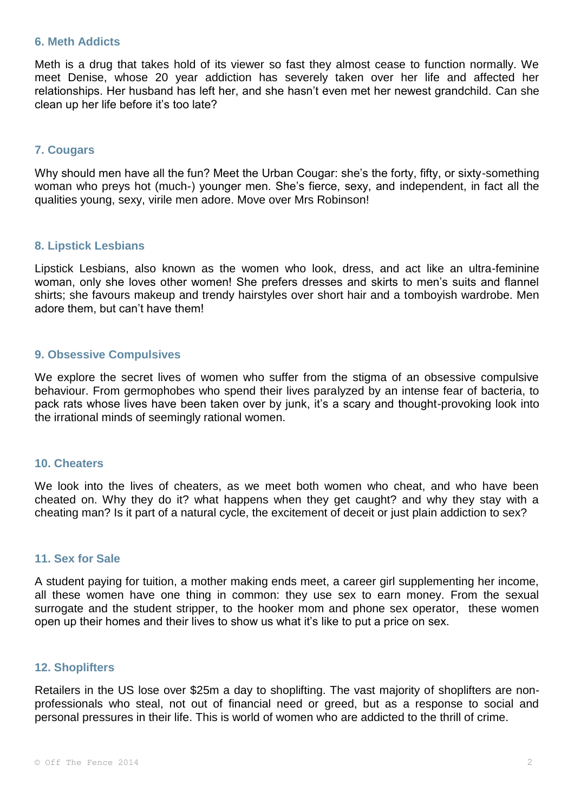### **6. Meth Addicts**

Meth is a drug that takes hold of its viewer so fast they almost cease to function normally. We meet Denise, whose 20 year addiction has severely taken over her life and affected her relationships. Her husband has left her, and she hasn't even met her newest grandchild. Can she clean up her life before it's too late?

# **7. Cougars**

Why should men have all the fun? Meet the Urban Cougar: she's the forty, fifty, or sixty-something woman who preys hot (much-) younger men. She's fierce, sexy, and independent, in fact all the qualities young, sexy, virile men adore. Move over Mrs Robinson!

# **8. Lipstick Lesbians**

Lipstick Lesbians, also known as the women who look, dress, and act like an ultra-feminine woman, only she loves other women! She prefers dresses and skirts to men's suits and flannel shirts; she favours makeup and trendy hairstyles over short hair and a tomboyish wardrobe. Men adore them, but can't have them!

## **9. Obsessive Compulsives**

We explore the secret lives of women who suffer from the stigma of an obsessive compulsive behaviour. From germophobes who spend their lives paralyzed by an intense fear of bacteria, to pack rats whose lives have been taken over by junk, it's a scary and thought-provoking look into the irrational minds of seemingly rational women.

#### **10. Cheaters**

We look into the lives of cheaters, as we meet both women who cheat, and who have been cheated on. Why they do it? what happens when they get caught? and why they stay with a cheating man? Is it part of a natural cycle, the excitement of deceit or just plain addiction to sex?

### **11. Sex for Sale**

A student paying for tuition, a mother making ends meet, a career girl supplementing her income, all these women have one thing in common: they use sex to earn money. From the sexual surrogate and the student stripper, to the hooker mom and phone sex operator, these women open up their homes and their lives to show us what it's like to put a price on sex.

#### **12. Shoplifters**

Retailers in the US lose over \$25m a day to shoplifting. The vast majority of shoplifters are nonprofessionals who steal, not out of financial need or greed, but as a response to social and personal pressures in their life. This is world of women who are addicted to the thrill of crime.